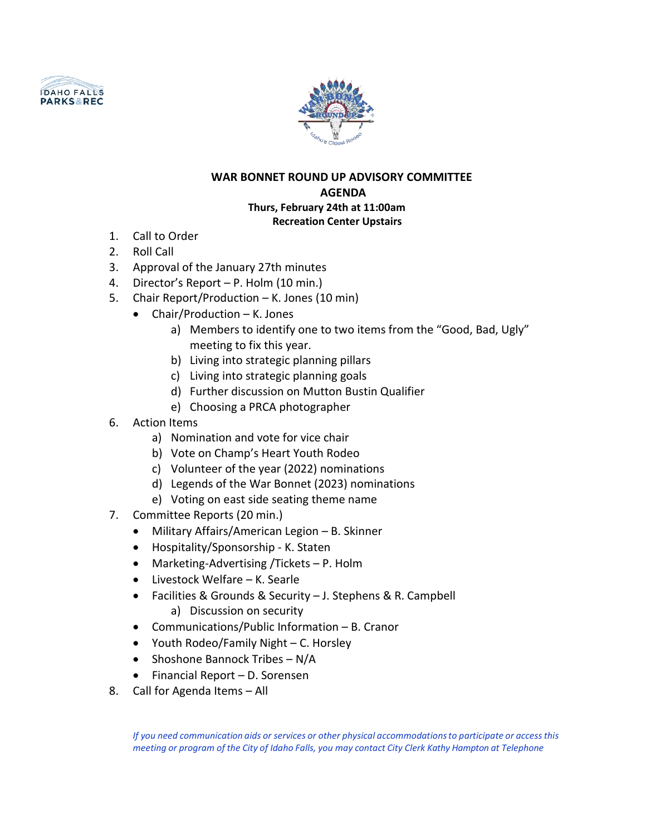



## **WAR BONNET ROUND UP ADVISORY COMMITTEE AGENDA Thurs, February 24th at 11:00am Recreation Center Upstairs**

- 1. Call to Order
- 2. Roll Call
- 3. Approval of the January 27th minutes
- 4. Director's Report P. Holm (10 min.)
- 5. Chair Report/Production K. Jones (10 min)
	- Chair/Production K. Jones
		- a) Members to identify one to two items from the "Good, Bad, Ugly" meeting to fix this year.
		- b) Living into strategic planning pillars
		- c) Living into strategic planning goals
		- d) Further discussion on Mutton Bustin Qualifier
		- e) Choosing a PRCA photographer
- 6. Action Items
	- a) Nomination and vote for vice chair
	- b) Vote on Champ's Heart Youth Rodeo
	- c) Volunteer of the year (2022) nominations
	- d) Legends of the War Bonnet (2023) nominations
	- e) Voting on east side seating theme name
- 7. Committee Reports (20 min.)
	- Military Affairs/American Legion B. Skinner
	- Hospitality/Sponsorship K. Staten
	- Marketing-Advertising /Tickets P. Holm
	- Livestock Welfare K. Searle
	- Facilities & Grounds & Security J. Stephens & R. Campbell
		- a) Discussion on security
	- Communications/Public Information B. Cranor
	- Youth Rodeo/Family Night C. Horsley
	- Shoshone Bannock Tribes N/A
	- Financial Report D. Sorensen
- 8. Call for Agenda Items All

*If you need communication aids or services or other physical accommodationsto participate or accessthis meeting or program of the City of Idaho Falls, you may contact City Clerk Kathy Hampton at Telephone*